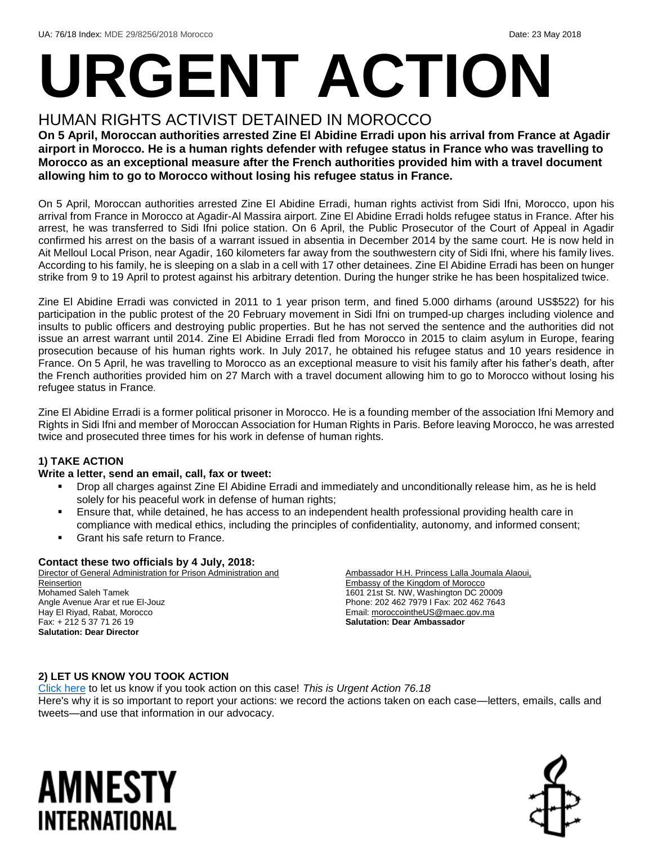# **URGENT ACTION**

## HUMAN RIGHTS ACTIVIST DETAINED IN MOROCCO

**On 5 April, Moroccan authorities arrested Zine El Abidine Erradi upon his arrival from France at Agadir airport in Morocco. He is a human rights defender with refugee status in France who was travelling to Morocco as an exceptional measure after the French authorities provided him with a travel document allowing him to go to Morocco without losing his refugee status in France.**

On 5 April, Moroccan authorities arrested Zine El Abidine Erradi, human rights activist from Sidi Ifni, Morocco, upon his arrival from France in Morocco at Agadir-Al Massira airport. Zine El Abidine Erradi holds refugee status in France. After his arrest, he was transferred to Sidi Ifni police station. On 6 April, the Public Prosecutor of the Court of Appeal in Agadir confirmed his arrest on the basis of a warrant issued in absentia in December 2014 by the same court. He is now held in Ait Melloul Local Prison, near Agadir, 160 kilometers far away from the southwestern city of Sidi Ifni, where his family lives. According to his family, he is sleeping on a slab in a cell with 17 other detainees. Zine El Abidine Erradi has been on hunger strike from 9 to 19 April to protest against his arbitrary detention. During the hunger strike he has been hospitalized twice.

Zine El Abidine Erradi was convicted in 2011 to 1 year prison term, and fined 5.000 dirhams (around US\$522) for his participation in the public protest of the 20 February movement in Sidi Ifni on trumped-up charges including violence and insults to public officers and destroying public properties. But he has not served the sentence and the authorities did not issue an arrest warrant until 2014. Zine El Abidine Erradi fled from Morocco in 2015 to claim asylum in Europe, fearing prosecution because of his human rights work. In July 2017, he obtained his refugee status and 10 years residence in France. On 5 April, he was travelling to Morocco as an exceptional measure to visit his family after his father's death, after the French authorities provided him on 27 March with a travel document allowing him to go to Morocco without losing his refugee status in France.

Zine El Abidine Erradi is a former political prisoner in Morocco. He is a founding member of the association Ifni Memory and Rights in Sidi Ifni and member of Moroccan Association for Human Rights in Paris. Before leaving Morocco, he was arrested twice and prosecuted three times for his work in defense of human rights.

#### **1) TAKE ACTION**

#### **Write a letter, send an email, call, fax or tweet:**

- Drop all charges against Zine El Abidine Erradi and immediately and unconditionally release him, as he is held solely for his peaceful work in defense of human rights;
- Ensure that, while detained, he has access to an independent health professional providing health care in compliance with medical ethics, including the principles of confidentiality, autonomy, and informed consent;
- Grant his safe return to France.

#### **Contact these two officials by 4 July, 2018:**

Director of General Administration for Prison Administration and Reinsertion Mohamed Saleh Tamek Angle Avenue Arar et rue El-Jouz Hay El Riyad, Rabat, Morocco Fax: + 212 5 37 71 26 19 **Salutation: Dear Director**

Ambassador H.H. Princess Lalla Joumala Alaoui, Embassy of the Kingdom of Morocco 1601 21st St. NW, Washington DC 20009 Phone: 202 462 7979 I Fax: 202 462 7643 Email[: moroccointheUS@maec.gov.ma](mailto:moroccointheUS@maec.gov.ma) **Salutation: Dear Ambassador**

#### **2) LET US KNOW YOU TOOK ACTION**

[Click here](https://www.amnestyusa.org/report-urgent-actions/) to let us know if you took action on this case! *This is Urgent Action 76.18* Here's why it is so important to report your actions: we record the actions taken on each case—letters, emails, calls and tweets—and use that information in our advocacy.